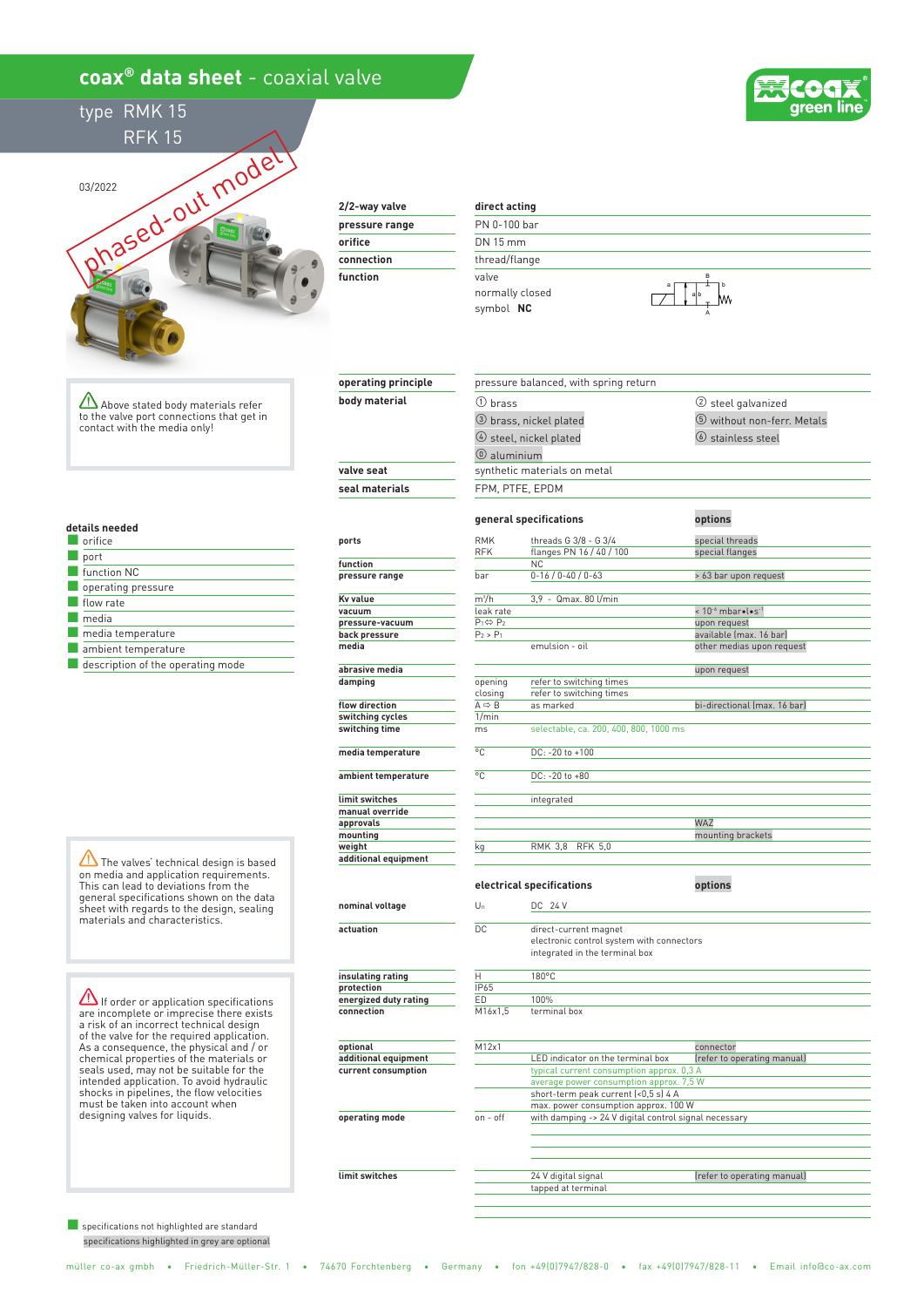# **coax® data sheet** - coaxial valve







## **2/2-way valve**

| pressure range |
|----------------|
| orifice        |
| connection     |
| function       |
|                |

**operating principle body material**

#### **direct acting**

① brass

PN 0-100 bar DN 15 mm thread/flange valve normally closed symbol  **NC**

pressure balanced, with spring return



② steel galvanized

Above stated body materials refer to the valve port connections that get in contact with the media only!

#### **details needed**

| orifice                           |
|-----------------------------------|
| port                              |
| function NC                       |
| operating pressure                |
| flow rate                         |
| media                             |
| media temperature                 |
| ambient temperature               |
| description of the operating mode |

The valves' technical design is based on media and application requirements. This can lead to deviations from the general specifications shown on the data sheet with regards to the design, sealing materials and characteristics.

 $\Delta$  If order or application specifications are incomplete or imprecise there exists a risk of an incorrect technical design of the valve for the required application. As a consequence, the physical and / or chemical properties of the materials or seals used, may not be suitable for the intended application. To avoid hydraulic shocks in pipelines, the flow velocities must be taken into account when designing valves for liquids.

■ specifications not highlighted are standard specifications highlighted in grey are optional

|                      |                              | 3 brass, nickel plated                 | 5 without non-ferr. Metals                    |  |  |  |
|----------------------|------------------------------|----------------------------------------|-----------------------------------------------|--|--|--|
|                      |                              | 4 steel, nickel plated                 | (6) stainless steel                           |  |  |  |
|                      | $\circledR$ aluminium        |                                        |                                               |  |  |  |
| valve seat           | synthetic materials on metal |                                        |                                               |  |  |  |
| seal materials       | FPM, PTFE, EPDM              |                                        |                                               |  |  |  |
|                      |                              |                                        |                                               |  |  |  |
|                      |                              | general specifications                 | options                                       |  |  |  |
| ports                | <b>RMK</b>                   | threads G 3/8 - G 3/4                  | special threads                               |  |  |  |
|                      | <b>RFK</b>                   | flanges PN 16 / 40 / 100               | special flanges                               |  |  |  |
| function             |                              | <b>NC</b>                              |                                               |  |  |  |
| pressure range       | bar                          | $0-16/0-40/0-63$                       | > 63 bar upon request                         |  |  |  |
| Kv value             | $m^3/h$                      | 3.9 - Qmax. 80 l/min                   |                                               |  |  |  |
| vacuum               | leak rate                    |                                        | < 10 <sup>-6</sup> mbar · l · s <sup>-1</sup> |  |  |  |
| pressure-vacuum      | $P_1 \Leftrightarrow P_2$    |                                        | upon request                                  |  |  |  |
| back pressure        | $P_2 > P_1$                  |                                        | available (max. 16 bar)                       |  |  |  |
| media                |                              | emulsion - oil                         | other medias upon request                     |  |  |  |
| abrasive media       |                              |                                        | upon request                                  |  |  |  |
| damping              | opening                      | refer to switching times               |                                               |  |  |  |
|                      | closing                      | refer to switching times               |                                               |  |  |  |
| flow direction       | $A \Rightarrow B$            | as marked                              | bi-directional (max. 16 bar)                  |  |  |  |
| switching cycles     | 1/min                        |                                        |                                               |  |  |  |
| switching time       | ms                           | selectable, ca. 200, 400, 800, 1000 ms |                                               |  |  |  |
| media temperature    | °C                           | DC: -20 to +100                        |                                               |  |  |  |
| ambient temperature  | $\overline{C}$               | DC: -20 to +80                         |                                               |  |  |  |
|                      |                              |                                        |                                               |  |  |  |
| limit switches       |                              | integrated                             |                                               |  |  |  |
| manual override      |                              |                                        |                                               |  |  |  |
| approvals            |                              |                                        | WA7                                           |  |  |  |
| mounting             |                              |                                        | mounting brackets                             |  |  |  |
| weight               | kq                           | <b>RMK 3,8</b><br><b>RFK 5.0</b>       |                                               |  |  |  |
| additional equipment |                              |                                        |                                               |  |  |  |
|                      |                              |                                        |                                               |  |  |  |
|                      |                              | electrical specifications              | options                                       |  |  |  |
|                      |                              |                                        |                                               |  |  |  |

### **nominal voltage**

**actuation**

**insulating rating protection energized duty rating**

**connection**

**optional additional equipment current consumption**

**operating mode**

**limit switches**

## Un DC 24 V DC direct-current magnet H 180°C IP65 ED 100% terminal box M12x1 connector typical current consumption approx. 0,3 A average power consumption approx. 7,5 W<br>short-term peak current (<0,5 s) 4 A LED indicator on the terminal box kets  $M16x1.5$ on - off with damping -> 24 V digital control signal necessary 24 V digital signal and the feature of the feature of the operating manual) tapped at terminal electronic control system with connectors integrated in the terminal box max. power consumption approx. 100 W (refer to operating manual)